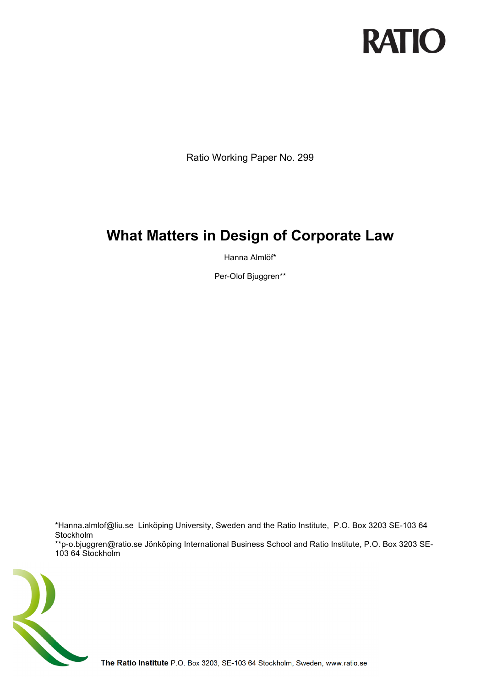# **RATIO**

Ratio Working Paper No. 299

# **What Matters in Design of Corporate Law**

Hanna Almlöf\*

Per-Olof Bjuggren\*\*

\*Hanna.almlof@liu.se Linköping University, Sweden and the Ratio Institute, P.O. Box 3203 SE-103 64 Stockholm

\*\*p-o.bjuggren@ratio.se Jönköping International Business School and Ratio Institute, P.O. Box 3203 SE-103 64 Stockholm

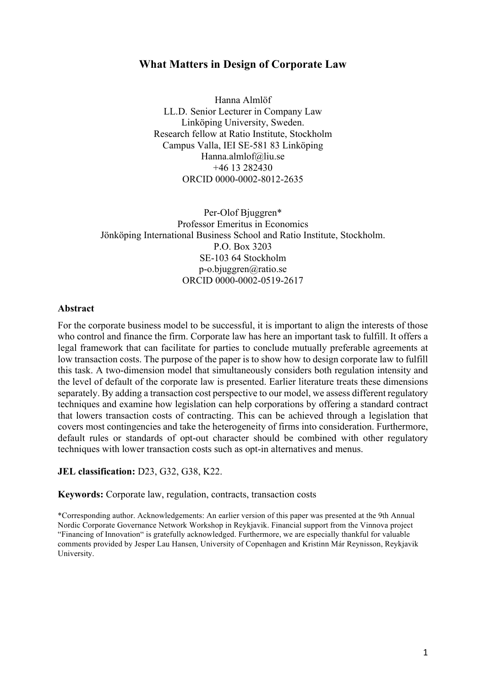# **What Matters in Design of Corporate Law**

Hanna Almlöf LL.D. Senior Lecturer in Company Law Linköping University, Sweden. Research fellow at Ratio Institute, Stockholm Campus Valla, IEI SE-581 83 Linköping Hanna.almlof@liu.se +46 13 282430 ORCID 0000-0002-8012-2635

Per-Olof Bjuggren\* Professor Emeritus in Economics Jönköping International Business School and Ratio Institute, Stockholm. P.O. Box 3203 SE-103 64 Stockholm p-o.bjuggren@ratio.se ORCID 0000-0002-0519-2617

#### **Abstract**

For the corporate business model to be successful, it is important to align the interests of those who control and finance the firm. Corporate law has here an important task to fulfill. It offers a legal framework that can facilitate for parties to conclude mutually preferable agreements at low transaction costs. The purpose of the paper is to show how to design corporate law to fulfill this task. A two-dimension model that simultaneously considers both regulation intensity and the level of default of the corporate law is presented. Earlier literature treats these dimensions separately. By adding a transaction cost perspective to our model, we assess different regulatory techniques and examine how legislation can help corporations by offering a standard contract that lowers transaction costs of contracting. This can be achieved through a legislation that covers most contingencies and take the heterogeneity of firms into consideration. Furthermore, default rules or standards of opt-out character should be combined with other regulatory techniques with lower transaction costs such as opt-in alternatives and menus.

#### **JEL classification:** D23, G32, G38, K22.

**Keywords:** Corporate law, regulation, contracts, transaction costs

\*Corresponding author. Acknowledgements: An earlier version of this paper was presented at the 9th Annual Nordic Corporate Governance Network Workshop in Reykjavik. Financial support from the Vinnova project "Financing of Innovation" is gratefully acknowledged. Furthermore, we are especially thankful for valuable comments provided by Jesper Lau Hansen, University of Copenhagen and Kristinn Már Reynisson, Reykjavik University.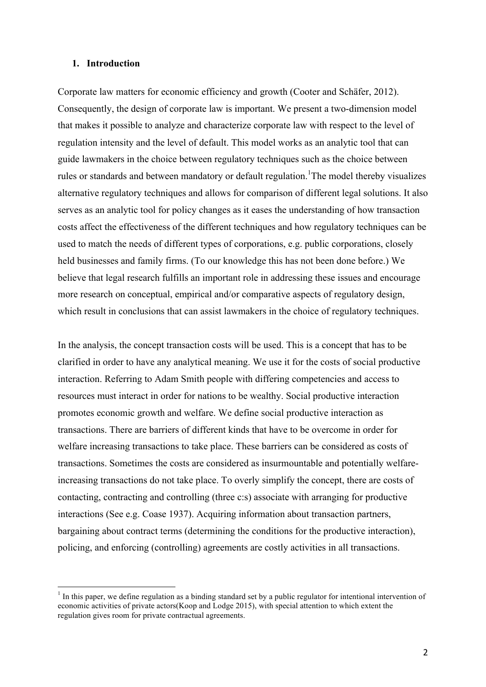#### **1. Introduction**

Corporate law matters for economic efficiency and growth (Cooter and Schäfer, 2012). Consequently, the design of corporate law is important. We present a two-dimension model that makes it possible to analyze and characterize corporate law with respect to the level of regulation intensity and the level of default. This model works as an analytic tool that can guide lawmakers in the choice between regulatory techniques such as the choice between rules or standards and between mandatory or default regulation. <sup>1</sup>The model thereby visualizes alternative regulatory techniques and allows for comparison of different legal solutions. It also serves as an analytic tool for policy changes as it eases the understanding of how transaction costs affect the effectiveness of the different techniques and how regulatory techniques can be used to match the needs of different types of corporations, e.g. public corporations, closely held businesses and family firms. (To our knowledge this has not been done before.) We believe that legal research fulfills an important role in addressing these issues and encourage more research on conceptual, empirical and/or comparative aspects of regulatory design, which result in conclusions that can assist lawmakers in the choice of regulatory techniques.

In the analysis, the concept transaction costs will be used. This is a concept that has to be clarified in order to have any analytical meaning. We use it for the costs of social productive interaction. Referring to Adam Smith people with differing competencies and access to resources must interact in order for nations to be wealthy. Social productive interaction promotes economic growth and welfare. We define social productive interaction as transactions. There are barriers of different kinds that have to be overcome in order for welfare increasing transactions to take place. These barriers can be considered as costs of transactions. Sometimes the costs are considered as insurmountable and potentially welfareincreasing transactions do not take place. To overly simplify the concept, there are costs of contacting, contracting and controlling (three c:s) associate with arranging for productive interactions (See e.g. Coase 1937). Acquiring information about transaction partners, bargaining about contract terms (determining the conditions for the productive interaction), policing, and enforcing (controlling) agreements are costly activities in all transactions.

 $<sup>1</sup>$  In this paper, we define regulation as a binding standard set by a public regulator for intentional intervention of</sup> economic activities of private actors(Koop and Lodge 2015), with special attention to which extent the regulation gives room for private contractual agreements.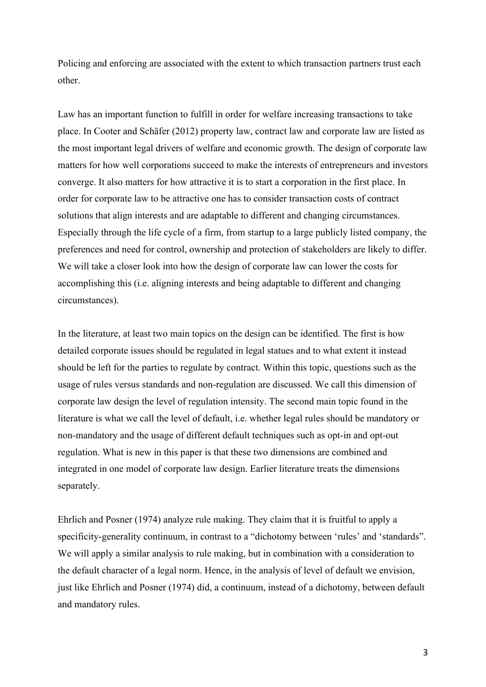Policing and enforcing are associated with the extent to which transaction partners trust each other.

Law has an important function to fulfill in order for welfare increasing transactions to take place. In Cooter and Schäfer (2012) property law, contract law and corporate law are listed as the most important legal drivers of welfare and economic growth. The design of corporate law matters for how well corporations succeed to make the interests of entrepreneurs and investors converge. It also matters for how attractive it is to start a corporation in the first place. In order for corporate law to be attractive one has to consider transaction costs of contract solutions that align interests and are adaptable to different and changing circumstances. Especially through the life cycle of a firm, from startup to a large publicly listed company, the preferences and need for control, ownership and protection of stakeholders are likely to differ. We will take a closer look into how the design of corporate law can lower the costs for accomplishing this (i.e. aligning interests and being adaptable to different and changing circumstances).

In the literature, at least two main topics on the design can be identified. The first is how detailed corporate issues should be regulated in legal statues and to what extent it instead should be left for the parties to regulate by contract. Within this topic, questions such as the usage of rules versus standards and non-regulation are discussed. We call this dimension of corporate law design the level of regulation intensity. The second main topic found in the literature is what we call the level of default, i.e. whether legal rules should be mandatory or non-mandatory and the usage of different default techniques such as opt-in and opt-out regulation. What is new in this paper is that these two dimensions are combined and integrated in one model of corporate law design. Earlier literature treats the dimensions separately.

Ehrlich and Posner (1974) analyze rule making. They claim that it is fruitful to apply a specificity-generality continuum, in contrast to a "dichotomy between 'rules' and 'standards". We will apply a similar analysis to rule making, but in combination with a consideration to the default character of a legal norm. Hence, in the analysis of level of default we envision, just like Ehrlich and Posner (1974) did, a continuum, instead of a dichotomy, between default and mandatory rules.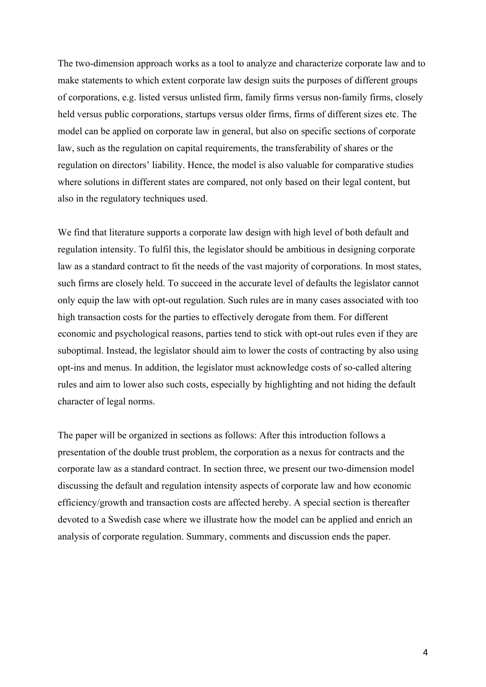The two-dimension approach works as a tool to analyze and characterize corporate law and to make statements to which extent corporate law design suits the purposes of different groups of corporations, e.g. listed versus unlisted firm, family firms versus non-family firms, closely held versus public corporations, startups versus older firms, firms of different sizes etc. The model can be applied on corporate law in general, but also on specific sections of corporate law, such as the regulation on capital requirements, the transferability of shares or the regulation on directors' liability. Hence, the model is also valuable for comparative studies where solutions in different states are compared, not only based on their legal content, but also in the regulatory techniques used.

We find that literature supports a corporate law design with high level of both default and regulation intensity. To fulfil this, the legislator should be ambitious in designing corporate law as a standard contract to fit the needs of the vast majority of corporations. In most states, such firms are closely held. To succeed in the accurate level of defaults the legislator cannot only equip the law with opt-out regulation. Such rules are in many cases associated with too high transaction costs for the parties to effectively derogate from them. For different economic and psychological reasons, parties tend to stick with opt-out rules even if they are suboptimal. Instead, the legislator should aim to lower the costs of contracting by also using opt-ins and menus. In addition, the legislator must acknowledge costs of so-called altering rules and aim to lower also such costs, especially by highlighting and not hiding the default character of legal norms.

The paper will be organized in sections as follows: After this introduction follows a presentation of the double trust problem, the corporation as a nexus for contracts and the corporate law as a standard contract. In section three, we present our two-dimension model discussing the default and regulation intensity aspects of corporate law and how economic efficiency/growth and transaction costs are affected hereby. A special section is thereafter devoted to a Swedish case where we illustrate how the model can be applied and enrich an analysis of corporate regulation. Summary, comments and discussion ends the paper.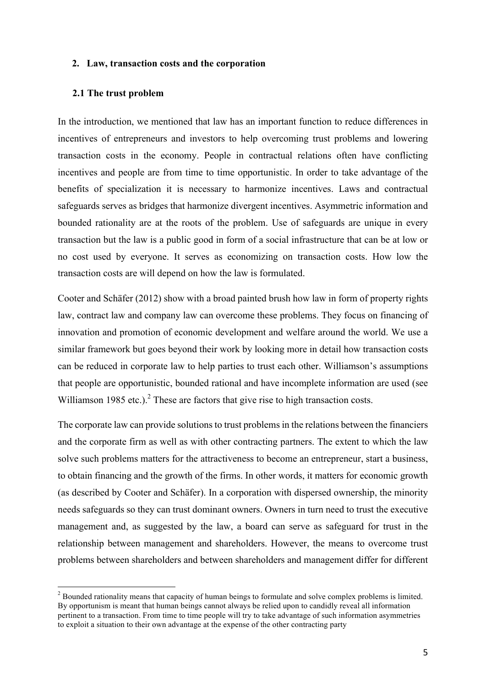## **2. Law, transaction costs and the corporation**

#### **2.1 The trust problem**

In the introduction, we mentioned that law has an important function to reduce differences in incentives of entrepreneurs and investors to help overcoming trust problems and lowering transaction costs in the economy. People in contractual relations often have conflicting incentives and people are from time to time opportunistic. In order to take advantage of the benefits of specialization it is necessary to harmonize incentives. Laws and contractual safeguards serves as bridges that harmonize divergent incentives. Asymmetric information and bounded rationality are at the roots of the problem. Use of safeguards are unique in every transaction but the law is a public good in form of a social infrastructure that can be at low or no cost used by everyone. It serves as economizing on transaction costs. How low the transaction costs are will depend on how the law is formulated.

Cooter and Schäfer (2012) show with a broad painted brush how law in form of property rights law, contract law and company law can overcome these problems. They focus on financing of innovation and promotion of economic development and welfare around the world. We use a similar framework but goes beyond their work by looking more in detail how transaction costs can be reduced in corporate law to help parties to trust each other. Williamson's assumptions that people are opportunistic, bounded rational and have incomplete information are used (see Williamson 1985 etc.).<sup>2</sup> These are factors that give rise to high transaction costs.

The corporate law can provide solutions to trust problems in the relations between the financiers and the corporate firm as well as with other contracting partners. The extent to which the law solve such problems matters for the attractiveness to become an entrepreneur, start a business, to obtain financing and the growth of the firms. In other words, it matters for economic growth (as described by Cooter and Schäfer). In a corporation with dispersed ownership, the minority needs safeguards so they can trust dominant owners. Owners in turn need to trust the executive management and, as suggested by the law, a board can serve as safeguard for trust in the relationship between management and shareholders. However, the means to overcome trust problems between shareholders and between shareholders and management differ for different

<sup>&</sup>lt;sup>2</sup> Bounded rationality means that capacity of human beings to formulate and solve complex problems is limited. By opportunism is meant that human beings cannot always be relied upon to candidly reveal all information pertinent to a transaction. From time to time people will try to take advantage of such information asymmetries to exploit a situation to their own advantage at the expense of the other contracting party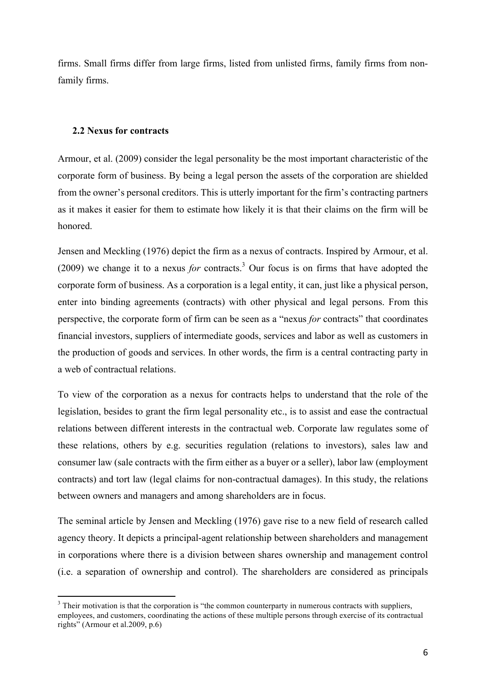firms. Small firms differ from large firms, listed from unlisted firms, family firms from nonfamily firms.

# **2.2 Nexus for contracts**

Armour, et al. (2009) consider the legal personality be the most important characteristic of the corporate form of business. By being a legal person the assets of the corporation are shielded from the owner's personal creditors. This is utterly important for the firm's contracting partners as it makes it easier for them to estimate how likely it is that their claims on the firm will be honored.

Jensen and Meckling (1976) depict the firm as a nexus of contracts. Inspired by Armour, et al. (2009) we change it to a nexus *for* contracts.<sup>3</sup> Our focus is on firms that have adopted the corporate form of business. As a corporation is a legal entity, it can, just like a physical person, enter into binding agreements (contracts) with other physical and legal persons. From this perspective, the corporate form of firm can be seen as a "nexus *for* contracts" that coordinates financial investors, suppliers of intermediate goods, services and labor as well as customers in the production of goods and services. In other words, the firm is a central contracting party in a web of contractual relations.

To view of the corporation as a nexus for contracts helps to understand that the role of the legislation, besides to grant the firm legal personality etc., is to assist and ease the contractual relations between different interests in the contractual web. Corporate law regulates some of these relations, others by e.g. securities regulation (relations to investors), sales law and consumer law (sale contracts with the firm either as a buyer or a seller), labor law (employment contracts) and tort law (legal claims for non-contractual damages). In this study, the relations between owners and managers and among shareholders are in focus.

The seminal article by Jensen and Meckling (1976) gave rise to a new field of research called agency theory. It depicts a principal-agent relationship between shareholders and management in corporations where there is a division between shares ownership and management control (i.e. a separation of ownership and control). The shareholders are considered as principals

<sup>&</sup>lt;sup>3</sup> Their motivation is that the corporation is "the common counterparty in numerous contracts with suppliers, employees, and customers, coordinating the actions of these multiple persons through exercise of its contractual rights" (Armour et al.2009, p.6)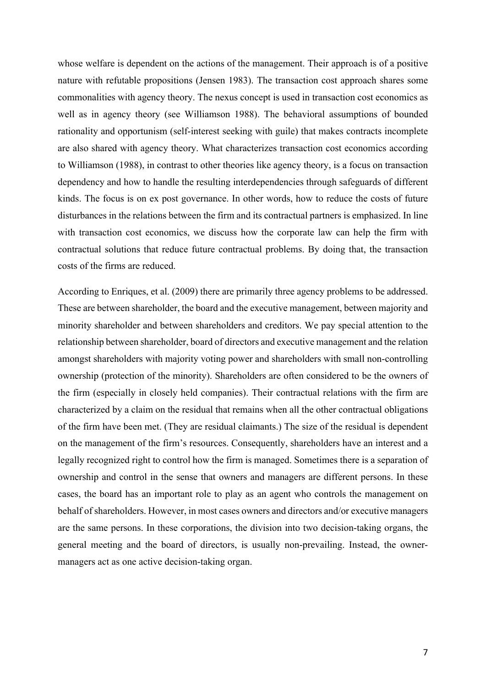whose welfare is dependent on the actions of the management. Their approach is of a positive nature with refutable propositions (Jensen 1983). The transaction cost approach shares some commonalities with agency theory. The nexus concept is used in transaction cost economics as well as in agency theory (see Williamson 1988). The behavioral assumptions of bounded rationality and opportunism (self-interest seeking with guile) that makes contracts incomplete are also shared with agency theory. What characterizes transaction cost economics according to Williamson (1988), in contrast to other theories like agency theory, is a focus on transaction dependency and how to handle the resulting interdependencies through safeguards of different kinds. The focus is on ex post governance. In other words, how to reduce the costs of future disturbances in the relations between the firm and its contractual partners is emphasized. In line with transaction cost economics, we discuss how the corporate law can help the firm with contractual solutions that reduce future contractual problems. By doing that, the transaction costs of the firms are reduced.

According to Enriques, et al. (2009) there are primarily three agency problems to be addressed. These are between shareholder, the board and the executive management, between majority and minority shareholder and between shareholders and creditors. We pay special attention to the relationship between shareholder, board of directors and executive management and the relation amongst shareholders with majority voting power and shareholders with small non-controlling ownership (protection of the minority). Shareholders are often considered to be the owners of the firm (especially in closely held companies). Their contractual relations with the firm are characterized by a claim on the residual that remains when all the other contractual obligations of the firm have been met. (They are residual claimants.) The size of the residual is dependent on the management of the firm's resources. Consequently, shareholders have an interest and a legally recognized right to control how the firm is managed. Sometimes there is a separation of ownership and control in the sense that owners and managers are different persons. In these cases, the board has an important role to play as an agent who controls the management on behalf of shareholders. However, in most cases owners and directors and/or executive managers are the same persons. In these corporations, the division into two decision-taking organs, the general meeting and the board of directors, is usually non-prevailing. Instead, the ownermanagers act as one active decision-taking organ.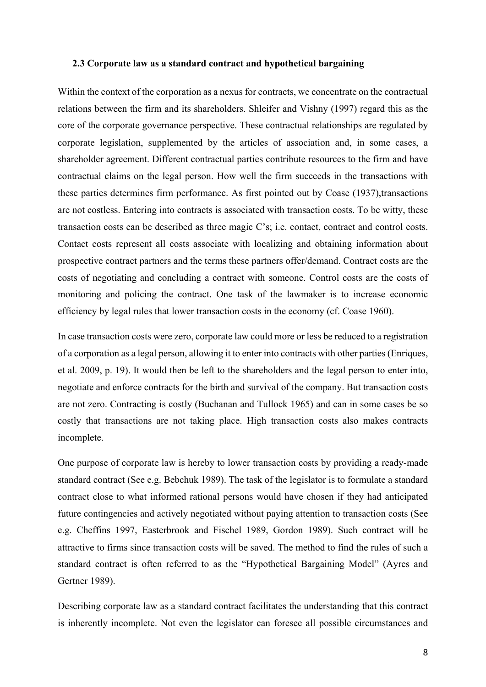#### **2.3 Corporate law as a standard contract and hypothetical bargaining**

Within the context of the corporation as a nexus for contracts, we concentrate on the contractual relations between the firm and its shareholders. Shleifer and Vishny (1997) regard this as the core of the corporate governance perspective. These contractual relationships are regulated by corporate legislation, supplemented by the articles of association and, in some cases, a shareholder agreement. Different contractual parties contribute resources to the firm and have contractual claims on the legal person. How well the firm succeeds in the transactions with these parties determines firm performance. As first pointed out by Coase (1937), transactions are not costless. Entering into contracts is associated with transaction costs. To be witty, these transaction costs can be described as three magic C's; i.e. contact, contract and control costs. Contact costs represent all costs associate with localizing and obtaining information about prospective contract partners and the terms these partners offer/demand. Contract costs are the costs of negotiating and concluding a contract with someone. Control costs are the costs of monitoring and policing the contract. One task of the lawmaker is to increase economic efficiency by legal rules that lower transaction costs in the economy (cf. Coase 1960).

In case transaction costs were zero, corporate law could more or less be reduced to a registration of a corporation as a legal person, allowing it to enter into contracts with other parties (Enriques, et al. 2009, p. 19). It would then be left to the shareholders and the legal person to enter into, negotiate and enforce contracts for the birth and survival of the company. But transaction costs are not zero. Contracting is costly (Buchanan and Tullock 1965) and can in some cases be so costly that transactions are not taking place. High transaction costs also makes contracts incomplete.

One purpose of corporate law is hereby to lower transaction costs by providing a ready-made standard contract (See e.g. Bebchuk 1989). The task of the legislator is to formulate a standard contract close to what informed rational persons would have chosen if they had anticipated future contingencies and actively negotiated without paying attention to transaction costs (See e.g. Cheffins 1997, Easterbrook and Fischel 1989, Gordon 1989). Such contract will be attractive to firms since transaction costs will be saved. The method to find the rules of such a standard contract is often referred to as the "Hypothetical Bargaining Model" (Ayres and Gertner 1989).

Describing corporate law as a standard contract facilitates the understanding that this contract is inherently incomplete. Not even the legislator can foresee all possible circumstances and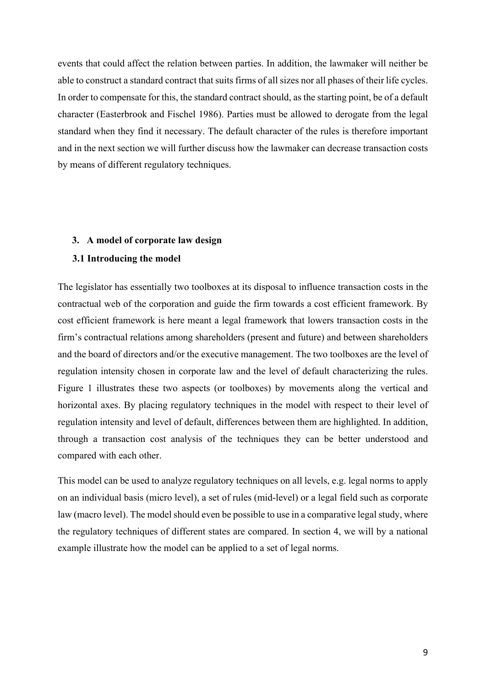events that could affect the relation between parties. In addition, the lawmaker will neither be able to construct a standard contract that suits firms of all sizes nor all phases of their life cycles. In order to compensate for this, the standard contract should, as the starting point, be of a default character (Easterbrook and Fischel 1986). Parties must be allowed to derogate from the legal standard when they find it necessary. The default character of the rules is therefore important and in the next section we will further discuss how the lawmaker can decrease transaction costs by means of different regulatory techniques.

### **3. A model of corporate law design**

#### **3.1 Introducing the model**

The legislator has essentially two toolboxes at its disposal to influence transaction costs in the contractual web of the corporation and guide the firm towards a cost efficient framework. By cost efficient framework is here meant a legal framework that lowers transaction costs in the firm's contractual relations among shareholders (present and future) and between shareholders and the board of directors and/or the executive management. The two toolboxes are the level of regulation intensity chosen in corporate law and the level of default characterizing the rules. Figure 1 illustrates these two aspects (or toolboxes) by movements along the vertical and horizontal axes. By placing regulatory techniques in the model with respect to their level of regulation intensity and level of default, differences between them are highlighted. In addition, through a transaction cost analysis of the techniques they can be better understood and compared with each other.

This model can be used to analyze regulatory techniques on all levels, e.g. legal norms to apply on an individual basis (micro level), a set of rules (mid-level) or a legal field such as corporate law (macro level). The model should even be possible to use in a comparative legal study, where the regulatory techniques of different states are compared. In section 4, we will by a national example illustrate how the model can be applied to a set of legal norms.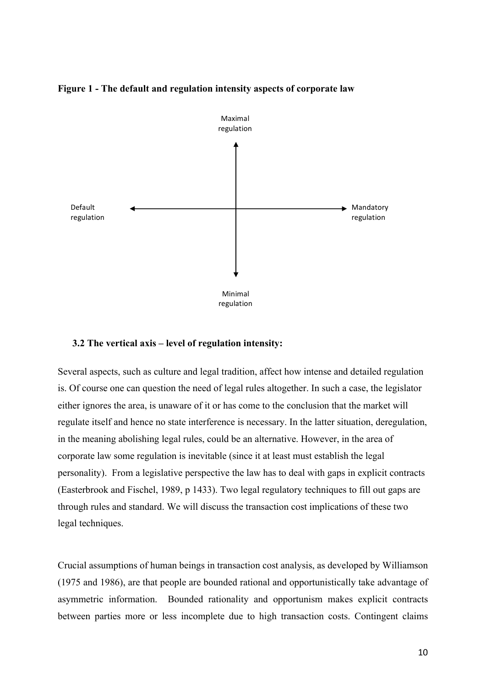

#### **Figure 1 - The default and regulation intensity aspects of corporate law**

#### **3.2 The vertical axis – level of regulation intensity:**

Several aspects, such as culture and legal tradition, affect how intense and detailed regulation is. Of course one can question the need of legal rules altogether. In such a case, the legislator either ignores the area, is unaware of it or has come to the conclusion that the market will regulate itself and hence no state interference is necessary. In the latter situation, deregulation, in the meaning abolishing legal rules, could be an alternative. However, in the area of corporate law some regulation is inevitable (since it at least must establish the legal personality). From a legislative perspective the law has to deal with gaps in explicit contracts (Easterbrook and Fischel, 1989, p 1433). Two legal regulatory techniques to fill out gaps are through rules and standard. We will discuss the transaction cost implications of these two legal techniques.

Crucial assumptions of human beings in transaction cost analysis, as developed by Williamson (1975 and 1986), are that people are bounded rational and opportunistically take advantage of asymmetric information. Bounded rationality and opportunism makes explicit contracts between parties more or less incomplete due to high transaction costs. Contingent claims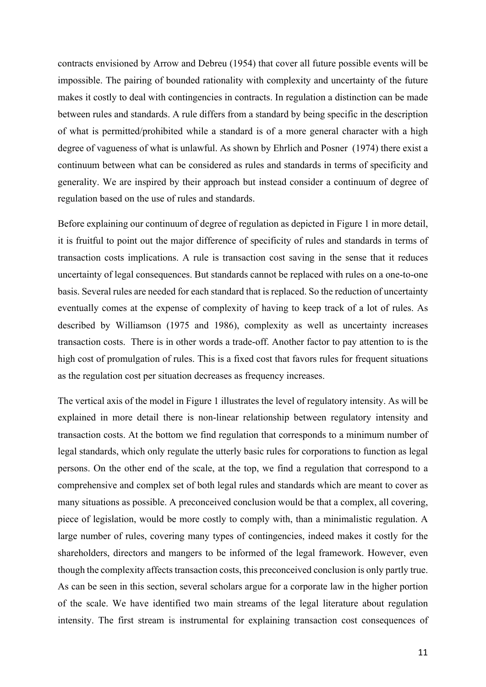contracts envisioned by Arrow and Debreu (1954) that cover all future possible events will be impossible. The pairing of bounded rationality with complexity and uncertainty of the future makes it costly to deal with contingencies in contracts. In regulation a distinction can be made between rules and standards. A rule differs from a standard by being specific in the description of what is permitted/prohibited while a standard is of a more general character with a high degree of vagueness of what is unlawful. As shown by Ehrlich and Posner (1974) there exist a continuum between what can be considered as rules and standards in terms of specificity and generality. We are inspired by their approach but instead consider a continuum of degree of regulation based on the use of rules and standards.

Before explaining our continuum of degree of regulation as depicted in Figure 1 in more detail, it is fruitful to point out the major difference of specificity of rules and standards in terms of transaction costs implications. A rule is transaction cost saving in the sense that it reduces uncertainty of legal consequences. But standards cannot be replaced with rules on a one-to-one basis. Several rules are needed for each standard that is replaced. So the reduction of uncertainty eventually comes at the expense of complexity of having to keep track of a lot of rules. As described by Williamson (1975 and 1986), complexity as well as uncertainty increases transaction costs. There is in other words a trade-off. Another factor to pay attention to is the high cost of promulgation of rules. This is a fixed cost that favors rules for frequent situations as the regulation cost per situation decreases as frequency increases.

The vertical axis of the model in Figure 1 illustrates the level of regulatory intensity. As will be explained in more detail there is non-linear relationship between regulatory intensity and transaction costs. At the bottom we find regulation that corresponds to a minimum number of legal standards, which only regulate the utterly basic rules for corporations to function as legal persons. On the other end of the scale, at the top, we find a regulation that correspond to a comprehensive and complex set of both legal rules and standards which are meant to cover as many situations as possible. A preconceived conclusion would be that a complex, all covering, piece of legislation, would be more costly to comply with, than a minimalistic regulation. A large number of rules, covering many types of contingencies, indeed makes it costly for the shareholders, directors and mangers to be informed of the legal framework. However, even though the complexity affects transaction costs, this preconceived conclusion is only partly true. As can be seen in this section, several scholars argue for a corporate law in the higher portion of the scale. We have identified two main streams of the legal literature about regulation intensity. The first stream is instrumental for explaining transaction cost consequences of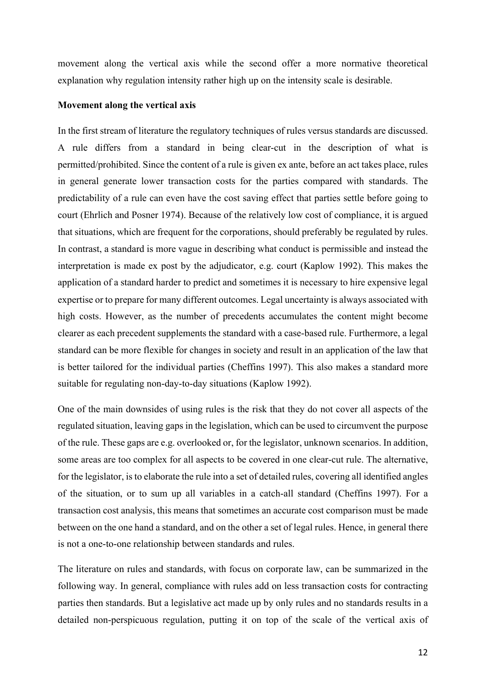movement along the vertical axis while the second offer a more normative theoretical explanation why regulation intensity rather high up on the intensity scale is desirable.

#### **Movement along the vertical axis**

In the first stream of literature the regulatory techniques of rules versus standards are discussed. A rule differs from a standard in being clear-cut in the description of what is permitted/prohibited. Since the content of a rule is given ex ante, before an act takes place, rules in general generate lower transaction costs for the parties compared with standards. The predictability of a rule can even have the cost saving effect that parties settle before going to court (Ehrlich and Posner 1974). Because of the relatively low cost of compliance, it is argued that situations, which are frequent for the corporations, should preferably be regulated by rules. In contrast, a standard is more vague in describing what conduct is permissible and instead the interpretation is made ex post by the adjudicator, e.g. court (Kaplow 1992). This makes the application of a standard harder to predict and sometimes it is necessary to hire expensive legal expertise or to prepare for many different outcomes. Legal uncertainty is always associated with high costs. However, as the number of precedents accumulates the content might become clearer as each precedent supplements the standard with a case-based rule. Furthermore, a legal standard can be more flexible for changes in society and result in an application of the law that is better tailored for the individual parties (Cheffins 1997). This also makes a standard more suitable for regulating non-day-to-day situations (Kaplow 1992).

One of the main downsides of using rules is the risk that they do not cover all aspects of the regulated situation, leaving gaps in the legislation, which can be used to circumvent the purpose of the rule. These gaps are e.g. overlooked or, for the legislator, unknown scenarios. In addition, some areas are too complex for all aspects to be covered in one clear-cut rule. The alternative, for the legislator, is to elaborate the rule into a set of detailed rules, covering all identified angles of the situation, or to sum up all variables in a catch-all standard (Cheffins 1997). For a transaction cost analysis, this means that sometimes an accurate cost comparison must be made between on the one hand a standard, and on the other a set of legal rules. Hence, in general there is not a one-to-one relationship between standards and rules.

The literature on rules and standards, with focus on corporate law, can be summarized in the following way. In general, compliance with rules add on less transaction costs for contracting parties then standards. But a legislative act made up by only rules and no standards results in a detailed non-perspicuous regulation, putting it on top of the scale of the vertical axis of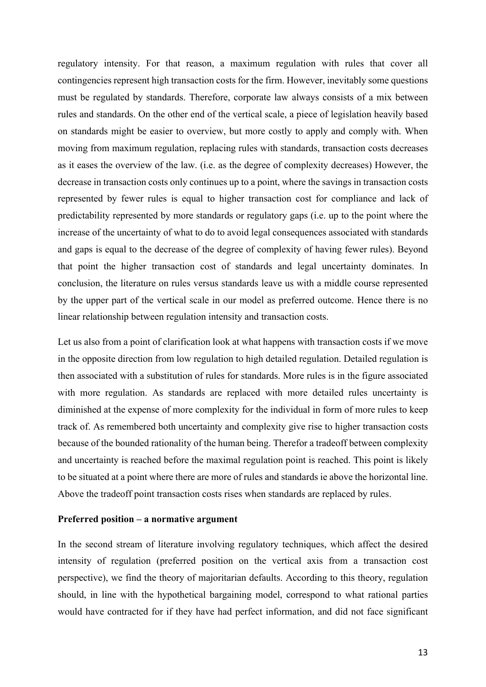regulatory intensity. For that reason, a maximum regulation with rules that cover all contingencies represent high transaction costs for the firm. However, inevitably some questions must be regulated by standards. Therefore, corporate law always consists of a mix between rules and standards. On the other end of the vertical scale, a piece of legislation heavily based on standards might be easier to overview, but more costly to apply and comply with. When moving from maximum regulation, replacing rules with standards, transaction costs decreases as it eases the overview of the law. (i.e. as the degree of complexity decreases) However, the decrease in transaction costs only continues up to a point, where the savings in transaction costs represented by fewer rules is equal to higher transaction cost for compliance and lack of predictability represented by more standards or regulatory gaps (i.e. up to the point where the increase of the uncertainty of what to do to avoid legal consequences associated with standards and gaps is equal to the decrease of the degree of complexity of having fewer rules). Beyond that point the higher transaction cost of standards and legal uncertainty dominates. In conclusion, the literature on rules versus standards leave us with a middle course represented by the upper part of the vertical scale in our model as preferred outcome. Hence there is no linear relationship between regulation intensity and transaction costs.

Let us also from a point of clarification look at what happens with transaction costs if we move in the opposite direction from low regulation to high detailed regulation. Detailed regulation is then associated with a substitution of rules for standards. More rules is in the figure associated with more regulation. As standards are replaced with more detailed rules uncertainty is diminished at the expense of more complexity for the individual in form of more rules to keep track of. As remembered both uncertainty and complexity give rise to higher transaction costs because of the bounded rationality of the human being. Therefor a tradeoff between complexity and uncertainty is reached before the maximal regulation point is reached. This point is likely to be situated at a point where there are more of rules and standards ie above the horizontal line. Above the tradeoff point transaction costs rises when standards are replaced by rules.

#### **Preferred position – a normative argument**

In the second stream of literature involving regulatory techniques, which affect the desired intensity of regulation (preferred position on the vertical axis from a transaction cost perspective), we find the theory of majoritarian defaults. According to this theory, regulation should, in line with the hypothetical bargaining model, correspond to what rational parties would have contracted for if they have had perfect information, and did not face significant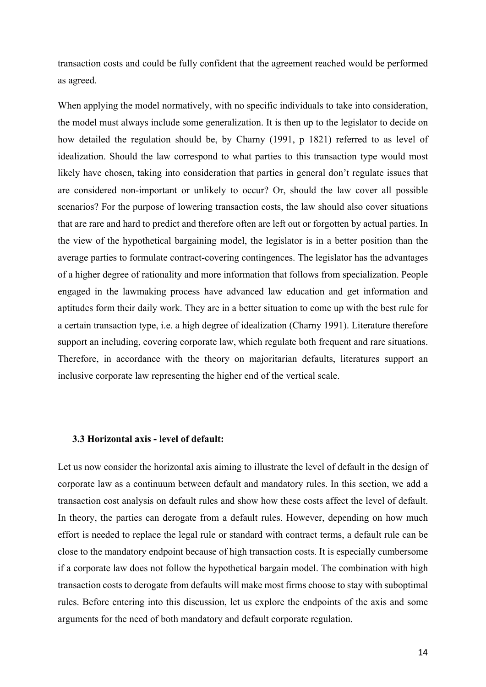transaction costs and could be fully confident that the agreement reached would be performed as agreed.

When applying the model normatively, with no specific individuals to take into consideration, the model must always include some generalization. It is then up to the legislator to decide on how detailed the regulation should be, by Charny (1991, p 1821) referred to as level of idealization. Should the law correspond to what parties to this transaction type would most likely have chosen, taking into consideration that parties in general don't regulate issues that are considered non-important or unlikely to occur? Or, should the law cover all possible scenarios? For the purpose of lowering transaction costs, the law should also cover situations that are rare and hard to predict and therefore often are left out or forgotten by actual parties. In the view of the hypothetical bargaining model, the legislator is in a better position than the average parties to formulate contract-covering contingences. The legislator has the advantages of a higher degree of rationality and more information that follows from specialization. People engaged in the lawmaking process have advanced law education and get information and aptitudes form their daily work. They are in a better situation to come up with the best rule for a certain transaction type, i.e. a high degree of idealization (Charny 1991). Literature therefore support an including, covering corporate law, which regulate both frequent and rare situations. Therefore, in accordance with the theory on majoritarian defaults, literatures support an inclusive corporate law representing the higher end of the vertical scale.

#### **3.3 Horizontal axis - level of default:**

Let us now consider the horizontal axis aiming to illustrate the level of default in the design of corporate law as a continuum between default and mandatory rules. In this section, we add a transaction cost analysis on default rules and show how these costs affect the level of default. In theory, the parties can derogate from a default rules. However, depending on how much effort is needed to replace the legal rule or standard with contract terms, a default rule can be close to the mandatory endpoint because of high transaction costs. It is especially cumbersome if a corporate law does not follow the hypothetical bargain model. The combination with high transaction costs to derogate from defaults will make most firms choose to stay with suboptimal rules. Before entering into this discussion, let us explore the endpoints of the axis and some arguments for the need of both mandatory and default corporate regulation.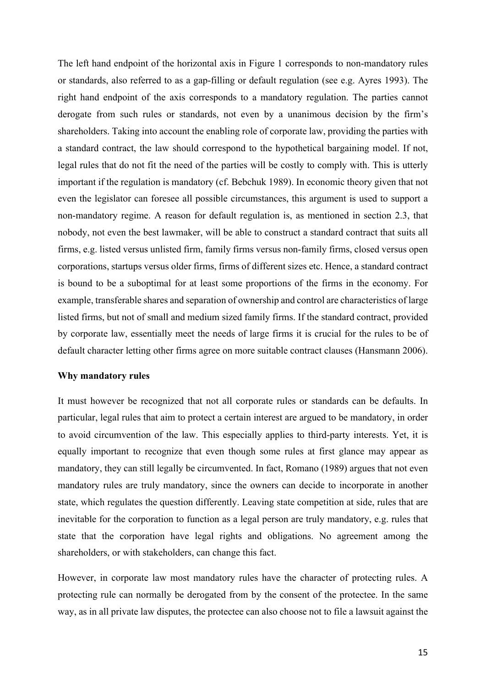The left hand endpoint of the horizontal axis in Figure 1 corresponds to non-mandatory rules or standards, also referred to as a gap-filling or default regulation (see e.g. Ayres 1993). The right hand endpoint of the axis corresponds to a mandatory regulation. The parties cannot derogate from such rules or standards, not even by a unanimous decision by the firm's shareholders. Taking into account the enabling role of corporate law, providing the parties with a standard contract, the law should correspond to the hypothetical bargaining model. If not, legal rules that do not fit the need of the parties will be costly to comply with. This is utterly important if the regulation is mandatory (cf. Bebchuk 1989). In economic theory given that not even the legislator can foresee all possible circumstances, this argument is used to support a non-mandatory regime. A reason for default regulation is, as mentioned in section 2.3, that nobody, not even the best lawmaker, will be able to construct a standard contract that suits all firms, e.g. listed versus unlisted firm, family firms versus non-family firms, closed versus open corporations, startups versus older firms, firms of different sizes etc. Hence, a standard contract is bound to be a suboptimal for at least some proportions of the firms in the economy. For example, transferable shares and separation of ownership and control are characteristics of large listed firms, but not of small and medium sized family firms. If the standard contract, provided by corporate law, essentially meet the needs of large firms it is crucial for the rules to be of default character letting other firms agree on more suitable contract clauses (Hansmann 2006).

#### **Why mandatory rules**

It must however be recognized that not all corporate rules or standards can be defaults. In particular, legal rules that aim to protect a certain interest are argued to be mandatory, in order to avoid circumvention of the law. This especially applies to third-party interests. Yet, it is equally important to recognize that even though some rules at first glance may appear as mandatory, they can still legally be circumvented. In fact, Romano (1989) argues that not even mandatory rules are truly mandatory, since the owners can decide to incorporate in another state, which regulates the question differently. Leaving state competition at side, rules that are inevitable for the corporation to function as a legal person are truly mandatory, e.g. rules that state that the corporation have legal rights and obligations. No agreement among the shareholders, or with stakeholders, can change this fact.

However, in corporate law most mandatory rules have the character of protecting rules. A protecting rule can normally be derogated from by the consent of the protectee. In the same way, as in all private law disputes, the protectee can also choose not to file a lawsuit against the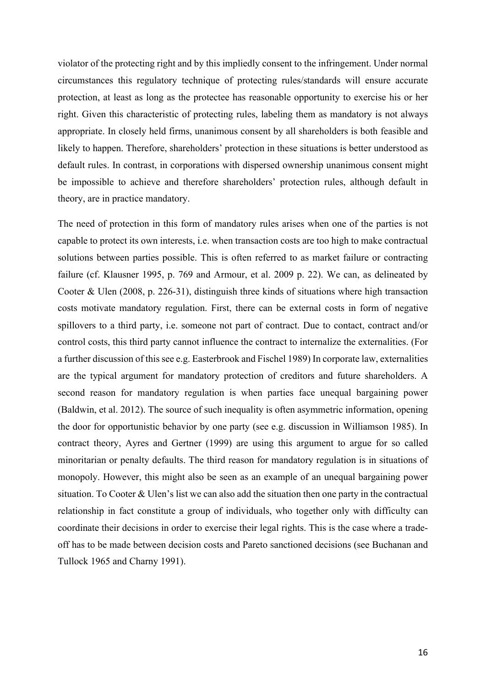violator of the protecting right and by this impliedly consent to the infringement. Under normal circumstances this regulatory technique of protecting rules/standards will ensure accurate protection, at least as long as the protectee has reasonable opportunity to exercise his or her right. Given this characteristic of protecting rules, labeling them as mandatory is not always appropriate. In closely held firms, unanimous consent by all shareholders is both feasible and likely to happen. Therefore, shareholders' protection in these situations is better understood as default rules. In contrast, in corporations with dispersed ownership unanimous consent might be impossible to achieve and therefore shareholders' protection rules, although default in theory, are in practice mandatory.

The need of protection in this form of mandatory rules arises when one of the parties is not capable to protect its own interests, i.e. when transaction costs are too high to make contractual solutions between parties possible. This is often referred to as market failure or contracting failure (cf. Klausner 1995, p. 769 and Armour, et al. 2009 p. 22). We can, as delineated by Cooter & Ulen (2008, p. 226-31), distinguish three kinds of situations where high transaction costs motivate mandatory regulation. First, there can be external costs in form of negative spillovers to a third party, i.e. someone not part of contract. Due to contact, contract and/or control costs, this third party cannot influence the contract to internalize the externalities. (For a further discussion of this see e.g. Easterbrook and Fischel 1989) In corporate law, externalities are the typical argument for mandatory protection of creditors and future shareholders. A second reason for mandatory regulation is when parties face unequal bargaining power (Baldwin, et al. 2012). The source of such inequality is often asymmetric information, opening the door for opportunistic behavior by one party (see e.g. discussion in Williamson 1985). In contract theory, Ayres and Gertner (1999) are using this argument to argue for so called minoritarian or penalty defaults. The third reason for mandatory regulation is in situations of monopoly. However, this might also be seen as an example of an unequal bargaining power situation. To Cooter & Ulen's list we can also add the situation then one party in the contractual relationship in fact constitute a group of individuals, who together only with difficulty can coordinate their decisions in order to exercise their legal rights. This is the case where a tradeoff has to be made between decision costs and Pareto sanctioned decisions (see Buchanan and Tullock 1965 and Charny 1991).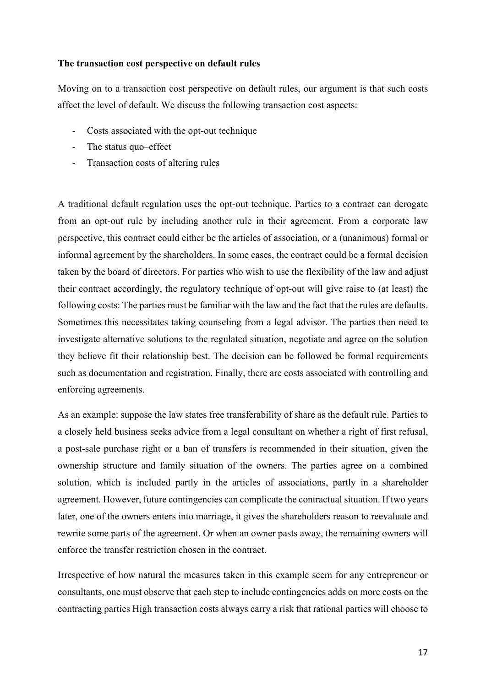# **The transaction cost perspective on default rules**

Moving on to a transaction cost perspective on default rules, our argument is that such costs affect the level of default. We discuss the following transaction cost aspects:

- Costs associated with the opt-out technique
- The status quo–effect
- Transaction costs of altering rules

A traditional default regulation uses the opt-out technique. Parties to a contract can derogate from an opt-out rule by including another rule in their agreement. From a corporate law perspective, this contract could either be the articles of association, or a (unanimous) formal or informal agreement by the shareholders. In some cases, the contract could be a formal decision taken by the board of directors. For parties who wish to use the flexibility of the law and adjust their contract accordingly, the regulatory technique of opt-out will give raise to (at least) the following costs: The parties must be familiar with the law and the fact that the rules are defaults. Sometimes this necessitates taking counseling from a legal advisor. The parties then need to investigate alternative solutions to the regulated situation, negotiate and agree on the solution they believe fit their relationship best. The decision can be followed be formal requirements such as documentation and registration. Finally, there are costs associated with controlling and enforcing agreements.

As an example: suppose the law states free transferability of share as the default rule. Parties to a closely held business seeks advice from a legal consultant on whether a right of first refusal, a post-sale purchase right or a ban of transfers is recommended in their situation, given the ownership structure and family situation of the owners. The parties agree on a combined solution, which is included partly in the articles of associations, partly in a shareholder agreement. However, future contingencies can complicate the contractual situation. If two years later, one of the owners enters into marriage, it gives the shareholders reason to reevaluate and rewrite some parts of the agreement. Or when an owner pasts away, the remaining owners will enforce the transfer restriction chosen in the contract.

Irrespective of how natural the measures taken in this example seem for any entrepreneur or consultants, one must observe that each step to include contingencies adds on more costs on the contracting parties High transaction costs always carry a risk that rational parties will choose to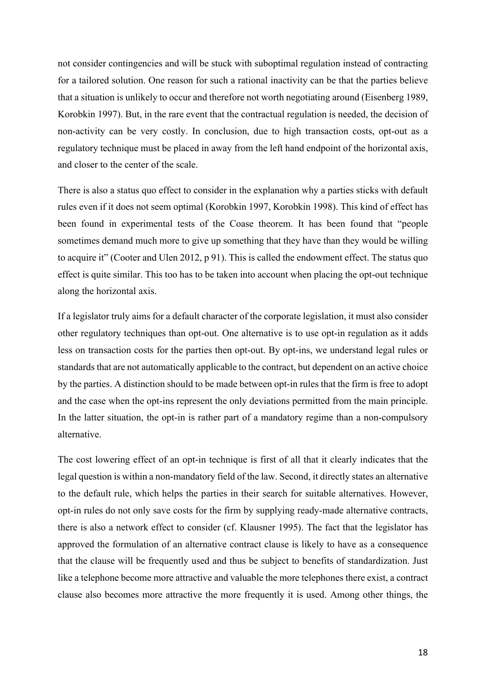not consider contingencies and will be stuck with suboptimal regulation instead of contracting for a tailored solution. One reason for such a rational inactivity can be that the parties believe that a situation is unlikely to occur and therefore not worth negotiating around (Eisenberg 1989, Korobkin 1997). But, in the rare event that the contractual regulation is needed, the decision of non-activity can be very costly. In conclusion, due to high transaction costs, opt-out as a regulatory technique must be placed in away from the left hand endpoint of the horizontal axis, and closer to the center of the scale.

There is also a status quo effect to consider in the explanation why a parties sticks with default rules even if it does not seem optimal (Korobkin 1997, Korobkin 1998). This kind of effect has been found in experimental tests of the Coase theorem. It has been found that "people sometimes demand much more to give up something that they have than they would be willing to acquire it" (Cooter and Ulen 2012, p 91). This is called the endowment effect. The status quo effect is quite similar. This too has to be taken into account when placing the opt-out technique along the horizontal axis.

If a legislator truly aims for a default character of the corporate legislation, it must also consider other regulatory techniques than opt-out. One alternative is to use opt-in regulation as it adds less on transaction costs for the parties then opt-out. By opt-ins, we understand legal rules or standards that are not automatically applicable to the contract, but dependent on an active choice by the parties. A distinction should to be made between opt-in rules that the firm is free to adopt and the case when the opt-ins represent the only deviations permitted from the main principle. In the latter situation, the opt-in is rather part of a mandatory regime than a non-compulsory alternative.

The cost lowering effect of an opt-in technique is first of all that it clearly indicates that the legal question is within a non-mandatory field of the law. Second, it directly states an alternative to the default rule, which helps the parties in their search for suitable alternatives. However, opt-in rules do not only save costs for the firm by supplying ready-made alternative contracts, there is also a network effect to consider (cf. Klausner 1995). The fact that the legislator has approved the formulation of an alternative contract clause is likely to have as a consequence that the clause will be frequently used and thus be subject to benefits of standardization. Just like a telephone become more attractive and valuable the more telephones there exist, a contract clause also becomes more attractive the more frequently it is used. Among other things, the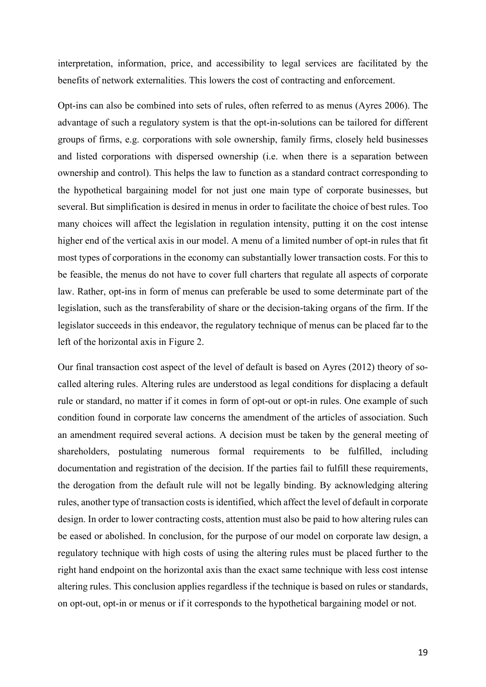interpretation, information, price, and accessibility to legal services are facilitated by the benefits of network externalities. This lowers the cost of contracting and enforcement.

Opt-ins can also be combined into sets of rules, often referred to as menus (Ayres 2006). The advantage of such a regulatory system is that the opt-in-solutions can be tailored for different groups of firms, e.g. corporations with sole ownership, family firms, closely held businesses and listed corporations with dispersed ownership (i.e. when there is a separation between ownership and control). This helps the law to function as a standard contract corresponding to the hypothetical bargaining model for not just one main type of corporate businesses, but several. But simplification is desired in menus in order to facilitate the choice of best rules. Too many choices will affect the legislation in regulation intensity, putting it on the cost intense higher end of the vertical axis in our model. A menu of a limited number of opt-in rules that fit most types of corporations in the economy can substantially lower transaction costs. For this to be feasible, the menus do not have to cover full charters that regulate all aspects of corporate law. Rather, opt-ins in form of menus can preferable be used to some determinate part of the legislation, such as the transferability of share or the decision-taking organs of the firm. If the legislator succeeds in this endeavor, the regulatory technique of menus can be placed far to the left of the horizontal axis in Figure 2.

Our final transaction cost aspect of the level of default is based on Ayres (2012) theory of socalled altering rules. Altering rules are understood as legal conditions for displacing a default rule or standard, no matter if it comes in form of opt-out or opt-in rules. One example of such condition found in corporate law concerns the amendment of the articles of association. Such an amendment required several actions. A decision must be taken by the general meeting of shareholders, postulating numerous formal requirements to be fulfilled, including documentation and registration of the decision. If the parties fail to fulfill these requirements, the derogation from the default rule will not be legally binding. By acknowledging altering rules, another type of transaction costsisidentified, which affect the level of default in corporate design. In order to lower contracting costs, attention must also be paid to how altering rules can be eased or abolished. In conclusion, for the purpose of our model on corporate law design, a regulatory technique with high costs of using the altering rules must be placed further to the right hand endpoint on the horizontal axis than the exact same technique with less cost intense altering rules. This conclusion applies regardless if the technique is based on rules or standards, on opt-out, opt-in or menus or if it corresponds to the hypothetical bargaining model or not.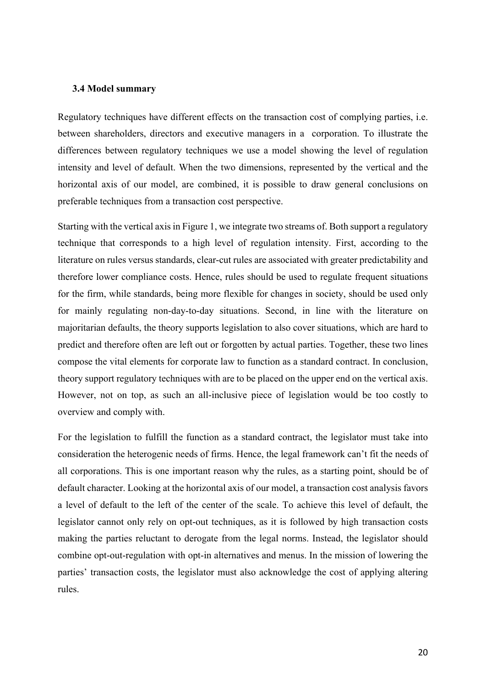#### **3.4 Model summary**

Regulatory techniques have different effects on the transaction cost of complying parties, i.e. between shareholders, directors and executive managers in a corporation. To illustrate the differences between regulatory techniques we use a model showing the level of regulation intensity and level of default. When the two dimensions, represented by the vertical and the horizontal axis of our model, are combined, it is possible to draw general conclusions on preferable techniques from a transaction cost perspective.

Starting with the vertical axis in Figure 1, we integrate two streams of. Both support a regulatory technique that corresponds to a high level of regulation intensity. First, according to the literature on rules versus standards, clear-cut rules are associated with greater predictability and therefore lower compliance costs. Hence, rules should be used to regulate frequent situations for the firm, while standards, being more flexible for changes in society, should be used only for mainly regulating non-day-to-day situations. Second, in line with the literature on majoritarian defaults, the theory supports legislation to also cover situations, which are hard to predict and therefore often are left out or forgotten by actual parties. Together, these two lines compose the vital elements for corporate law to function as a standard contract. In conclusion, theory support regulatory techniques with are to be placed on the upper end on the vertical axis. However, not on top, as such an all-inclusive piece of legislation would be too costly to overview and comply with.

For the legislation to fulfill the function as a standard contract, the legislator must take into consideration the heterogenic needs of firms. Hence, the legal framework can't fit the needs of all corporations. This is one important reason why the rules, as a starting point, should be of default character. Looking at the horizontal axis of our model, a transaction cost analysis favors a level of default to the left of the center of the scale. To achieve this level of default, the legislator cannot only rely on opt-out techniques, as it is followed by high transaction costs making the parties reluctant to derogate from the legal norms. Instead, the legislator should combine opt-out-regulation with opt-in alternatives and menus. In the mission of lowering the parties' transaction costs, the legislator must also acknowledge the cost of applying altering rules.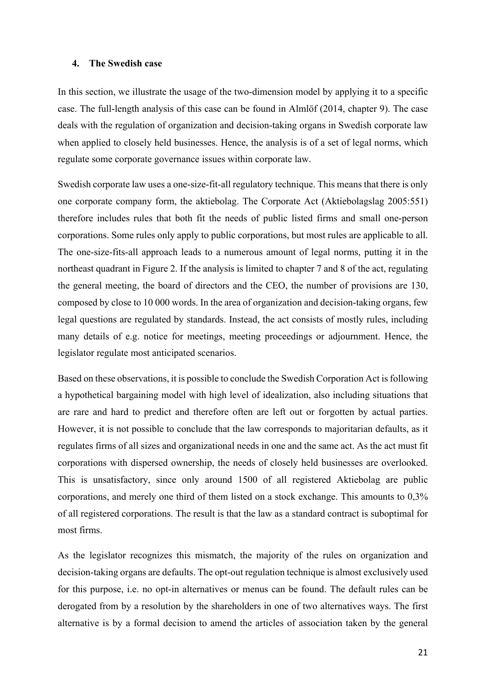#### **4. The Swedish case**

In this section, we illustrate the usage of the two-dimension model by applying it to a specific case. The full-length analysis of this case can be found in Almlöf (2014, chapter 9). The case deals with the regulation of organization and decision-taking organs in Swedish corporate law when applied to closely held businesses. Hence, the analysis is of a set of legal norms, which regulate some corporate governance issues within corporate law.

Swedish corporate law uses a one-size-fit-all regulatory technique. This means that there is only one corporate company form, the aktiebolag. The Corporate Act (Aktiebolagslag 2005:551) therefore includes rules that both fit the needs of public listed firms and small one-person corporations. Some rules only apply to public corporations, but most rules are applicable to all. The one-size-fits-all approach leads to a numerous amount of legal norms, putting it in the northeast quadrant in Figure 2. If the analysis is limited to chapter 7 and 8 of the act, regulating the general meeting, the board of directors and the CEO, the number of provisions are 130, composed by close to 10 000 words. In the area of organization and decision-taking organs, few legal questions are regulated by standards. Instead, the act consists of mostly rules, including many details of e.g. notice for meetings, meeting proceedings or adjournment. Hence, the legislator regulate most anticipated scenarios.

Based on these observations, it is possible to conclude the Swedish Corporation Act is following a hypothetical bargaining model with high level of idealization, also including situations that are rare and hard to predict and therefore often are left out or forgotten by actual parties. However, it is not possible to conclude that the law corresponds to majoritarian defaults, as it regulates firms of all sizes and organizational needs in one and the same act. As the act must fit corporations with dispersed ownership, the needs of closely held businesses are overlooked. This is unsatisfactory, since only around 1500 of all registered Aktiebolag are public corporations, and merely one third of them listed on a stock exchange. This amounts to 0,3% of all registered corporations. The result is that the law as a standard contract is suboptimal for most firms.

As the legislator recognizes this mismatch, the majority of the rules on organization and decision-taking organs are defaults. The opt-out regulation technique is almost exclusively used for this purpose, i.e. no opt-in alternatives or menus can be found. The default rules can be derogated from by a resolution by the shareholders in one of two alternatives ways. The first alternative is by a formal decision to amend the articles of association taken by the general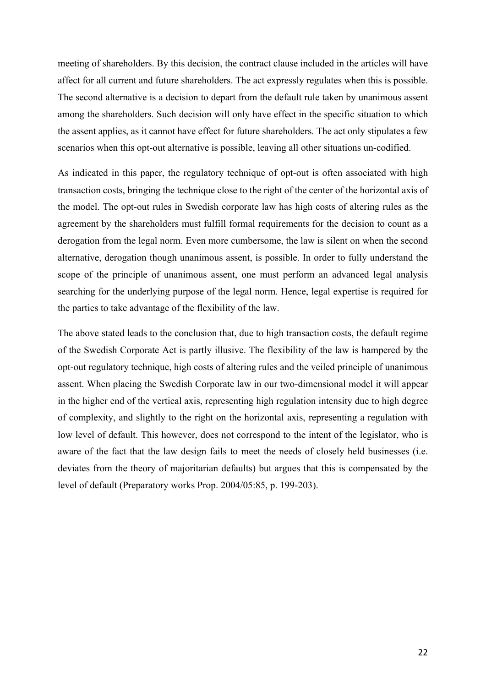meeting of shareholders. By this decision, the contract clause included in the articles will have affect for all current and future shareholders. The act expressly regulates when this is possible. The second alternative is a decision to depart from the default rule taken by unanimous assent among the shareholders. Such decision will only have effect in the specific situation to which the assent applies, as it cannot have effect for future shareholders. The act only stipulates a few scenarios when this opt-out alternative is possible, leaving all other situations un-codified.

As indicated in this paper, the regulatory technique of opt-out is often associated with high transaction costs, bringing the technique close to the right of the center of the horizontal axis of the model. The opt-out rules in Swedish corporate law has high costs of altering rules as the agreement by the shareholders must fulfill formal requirements for the decision to count as a derogation from the legal norm. Even more cumbersome, the law is silent on when the second alternative, derogation though unanimous assent, is possible. In order to fully understand the scope of the principle of unanimous assent, one must perform an advanced legal analysis searching for the underlying purpose of the legal norm. Hence, legal expertise is required for the parties to take advantage of the flexibility of the law.

The above stated leads to the conclusion that, due to high transaction costs, the default regime of the Swedish Corporate Act is partly illusive. The flexibility of the law is hampered by the opt-out regulatory technique, high costs of altering rules and the veiled principle of unanimous assent. When placing the Swedish Corporate law in our two-dimensional model it will appear in the higher end of the vertical axis, representing high regulation intensity due to high degree of complexity, and slightly to the right on the horizontal axis, representing a regulation with low level of default. This however, does not correspond to the intent of the legislator, who is aware of the fact that the law design fails to meet the needs of closely held businesses (i.e. deviates from the theory of majoritarian defaults) but argues that this is compensated by the level of default (Preparatory works Prop. 2004/05:85, p. 199-203).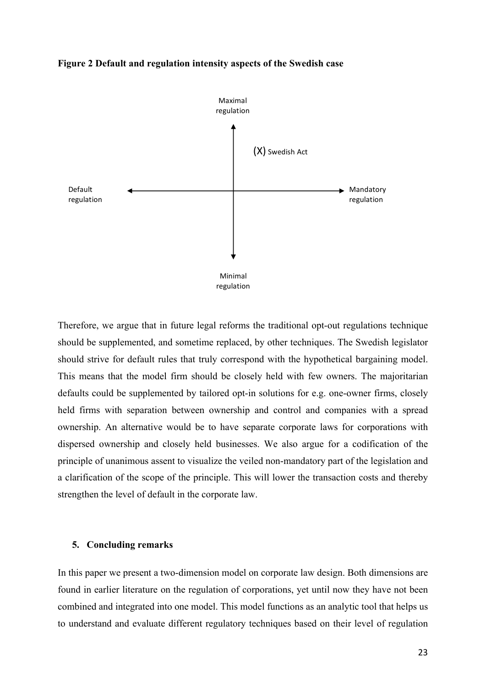



Therefore, we argue that in future legal reforms the traditional opt-out regulations technique should be supplemented, and sometime replaced, by other techniques. The Swedish legislator should strive for default rules that truly correspond with the hypothetical bargaining model. This means that the model firm should be closely held with few owners. The majoritarian defaults could be supplemented by tailored opt-in solutions for e.g. one-owner firms, closely held firms with separation between ownership and control and companies with a spread ownership. An alternative would be to have separate corporate laws for corporations with dispersed ownership and closely held businesses. We also argue for a codification of the principle of unanimous assent to visualize the veiled non-mandatory part of the legislation and a clarification of the scope of the principle. This will lower the transaction costs and thereby strengthen the level of default in the corporate law.

#### **5. Concluding remarks**

In this paper we present a two-dimension model on corporate law design. Both dimensions are found in earlier literature on the regulation of corporations, yet until now they have not been combined and integrated into one model. This model functions as an analytic tool that helps us to understand and evaluate different regulatory techniques based on their level of regulation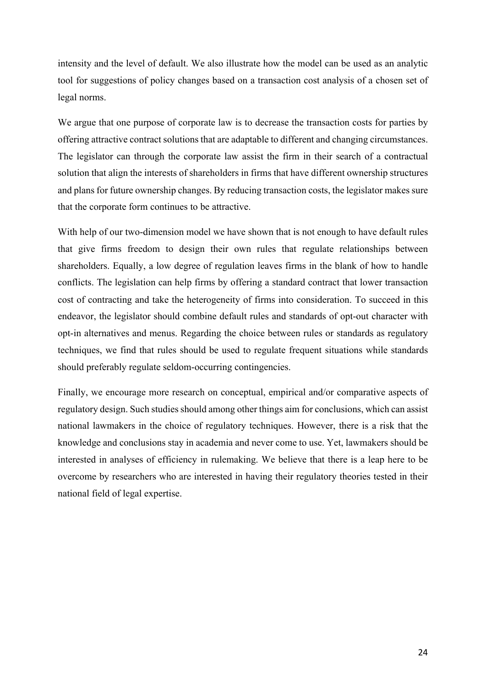intensity and the level of default. We also illustrate how the model can be used as an analytic tool for suggestions of policy changes based on a transaction cost analysis of a chosen set of legal norms.

We argue that one purpose of corporate law is to decrease the transaction costs for parties by offering attractive contract solutions that are adaptable to different and changing circumstances. The legislator can through the corporate law assist the firm in their search of a contractual solution that align the interests of shareholders in firms that have different ownership structures and plans for future ownership changes. By reducing transaction costs, the legislator makes sure that the corporate form continues to be attractive.

With help of our two-dimension model we have shown that is not enough to have default rules that give firms freedom to design their own rules that regulate relationships between shareholders. Equally, a low degree of regulation leaves firms in the blank of how to handle conflicts. The legislation can help firms by offering a standard contract that lower transaction cost of contracting and take the heterogeneity of firms into consideration. To succeed in this endeavor, the legislator should combine default rules and standards of opt-out character with opt-in alternatives and menus. Regarding the choice between rules or standards as regulatory techniques, we find that rules should be used to regulate frequent situations while standards should preferably regulate seldom-occurring contingencies.

Finally, we encourage more research on conceptual, empirical and/or comparative aspects of regulatory design. Such studies should among other things aim for conclusions, which can assist national lawmakers in the choice of regulatory techniques. However, there is a risk that the knowledge and conclusions stay in academia and never come to use. Yet, lawmakers should be interested in analyses of efficiency in rulemaking. We believe that there is a leap here to be overcome by researchers who are interested in having their regulatory theories tested in their national field of legal expertise.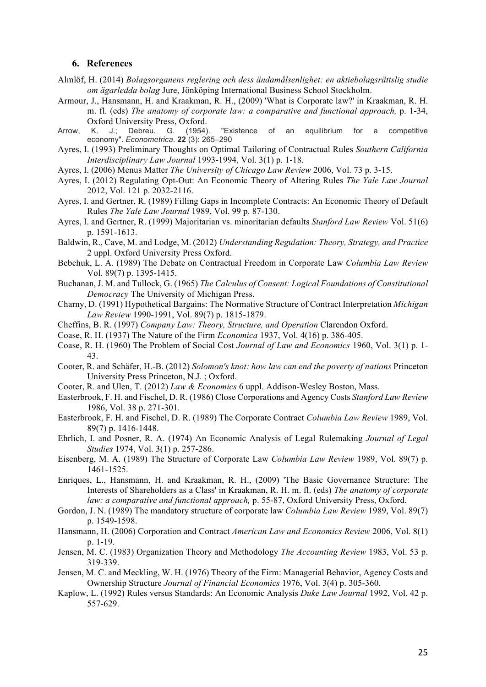#### **6. References**

- Almlöf, H. (2014) *Bolagsorganens reglering och dess ändamålsenlighet: en aktiebolagsrättslig studie om ägarledda bolag* Jure, Jönköping International Business School Stockholm.
- Armour, J., Hansmann, H. and Kraakman, R. H., (2009) 'What is Corporate law?' in Kraakman, R. H. m. fl. (eds) *The anatomy of corporate law: a comparative and functional approach,* p. 1-34, Oxford University Press, Oxford.
- Arrow, K. J.; Debreu, G. (1954). "Existence of an equilibrium for a competitive economy". *Econometrica*. **22** (3): 265–290
- Ayres, I. (1993) Preliminary Thoughts on Optimal Tailoring of Contractual Rules *Southern California Interdisciplinary Law Journal* 1993-1994, Vol. 3(1) p. 1-18.
- Ayres, I. (2006) Menus Matter *The University of Chicago Law Review* 2006, Vol. 73 p. 3-15.
- Ayres, I. (2012) Regulating Opt-Out: An Economic Theory of Altering Rules *The Yale Law Journal* 2012, Vol. 121 p. 2032-2116.
- Ayres, I. and Gertner, R. (1989) Filling Gaps in Incomplete Contracts: An Economic Theory of Default Rules *The Yale Law Journal* 1989, Vol. 99 p. 87-130.
- Ayres, I. and Gertner, R. (1999) Majoritarian vs. minoritarian defaults *Stanford Law Review* Vol. 51(6) p. 1591-1613.
- Baldwin, R., Cave, M. and Lodge, M. (2012) *Understanding Regulation: Theory, Strategy, and Practice* 2 uppl. Oxford University Press Oxford.
- Bebchuk, L. A. (1989) The Debate on Contractual Freedom in Corporate Law *Columbia Law Review* Vol. 89(7) p. 1395-1415.
- Buchanan, J. M. and Tullock, G. (1965) *The Calculus of Consent: Logical Foundations of Constitutional Democracy* The University of Michigan Press.
- Charny, D. (1991) Hypothetical Bargains: The Normative Structure of Contract Interpretation *Michigan Law Review* 1990-1991, Vol. 89(7) p. 1815-1879.
- Cheffins, B. R. (1997) *Company Law: Theory, Structure, and Operation* Clarendon Oxford.
- Coase, R. H. (1937) The Nature of the Firm *Economica* 1937, Vol. 4(16) p. 386-405.
- Coase, R. H. (1960) The Problem of Social Cost *Journal of Law and Economics* 1960, Vol. 3(1) p. 1- 43.
- Cooter, R. and Schäfer, H.-B. (2012) *Solomon's knot: how law can end the poverty of nations* Princeton University Press Princeton, N.J. ; Oxford.
- Cooter, R. and Ulen, T. (2012) *Law & Economics* 6 uppl. Addison-Wesley Boston, Mass.
- Easterbrook, F. H. and Fischel, D. R. (1986) Close Corporations and Agency Costs *Stanford Law Review* 1986, Vol. 38 p. 271-301.
- Easterbrook, F. H. and Fischel, D. R. (1989) The Corporate Contract *Columbia Law Review* 1989, Vol. 89(7) p. 1416-1448.
- Ehrlich, I. and Posner, R. A. (1974) An Economic Analysis of Legal Rulemaking *Journal of Legal Studies* 1974, Vol. 3(1) p. 257-286.
- Eisenberg, M. A. (1989) The Structure of Corporate Law *Columbia Law Review* 1989, Vol. 89(7) p. 1461-1525.
- Enriques, L., Hansmann, H. and Kraakman, R. H., (2009) 'The Basic Governance Structure: The Interests of Shareholders as a Class' in Kraakman, R. H. m. fl. (eds) *The anatomy of corporate law: a comparative and functional approach,* p. 55-87, Oxford University Press, Oxford.
- Gordon, J. N. (1989) The mandatory structure of corporate law *Columbia Law Review* 1989, Vol. 89(7) p. 1549-1598.
- Hansmann, H. (2006) Corporation and Contract *American Law and Economics Review* 2006, Vol. 8(1) p. 1-19.
- Jensen, M. C. (1983) Organization Theory and Methodology *The Accounting Review* 1983, Vol. 53 p. 319-339.
- Jensen, M. C. and Meckling, W. H. (1976) Theory of the Firm: Managerial Behavior, Agency Costs and Ownership Structure *Journal of Financial Economics* 1976, Vol. 3(4) p. 305-360.
- Kaplow, L. (1992) Rules versus Standards: An Economic Analysis *Duke Law Journal* 1992, Vol. 42 p. 557-629.